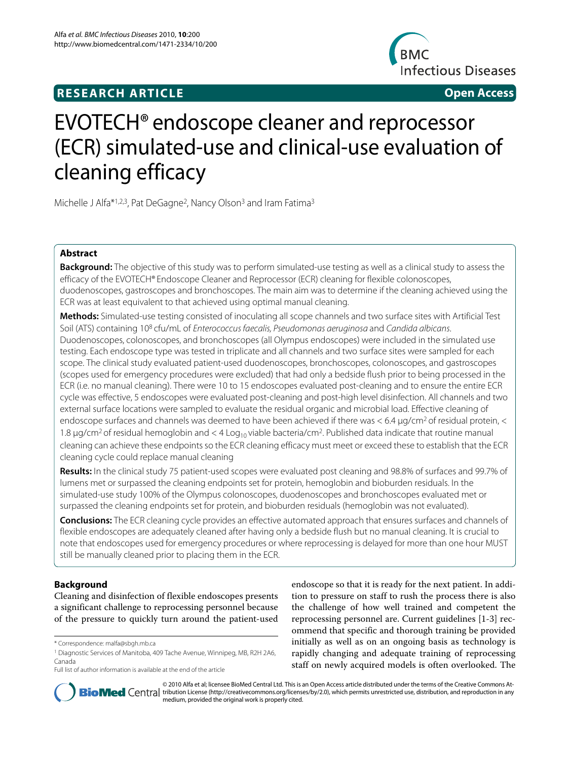## **RESEARCH ARTICLE Open Access**



# EVOTECH® endoscope cleaner and reprocessor (ECR) simulated-use and clinical-use evaluation of cleaning efficacy

Michelle J Alfa<sup>\*1,2,3</sup>, Pat DeGagne<sup>2</sup>, Nancy Olson<sup>3</sup> and Iram Fatima<sup>3</sup>

## **Abstract**

**Background:** The objective of this study was to perform simulated-use testing as well as a clinical study to assess the efficacy of the EVOTECH® Endoscope Cleaner and Reprocessor (ECR) cleaning for flexible colonoscopes, duodenoscopes, gastroscopes and bronchoscopes. The main aim was to determine if the cleaning achieved using the ECR was at least equivalent to that achieved using optimal manual cleaning.

**Methods:** Simulated-use testing consisted of inoculating all scope channels and two surface sites with Artificial Test Soil (ATS) containing 108 cfu/mL of Enterococcus faecalis, Pseudomonas aeruginosa and Candida albicans. Duodenoscopes, colonoscopes, and bronchoscopes (all Olympus endoscopes) were included in the simulated use testing. Each endoscope type was tested in triplicate and all channels and two surface sites were sampled for each scope. The clinical study evaluated patient-used duodenoscopes, bronchoscopes, colonoscopes, and gastroscopes (scopes used for emergency procedures were excluded) that had only a bedside flush prior to being processed in the ECR (i.e. no manual cleaning). There were 10 to 15 endoscopes evaluated post-cleaning and to ensure the entire ECR cycle was effective, 5 endoscopes were evaluated post-cleaning and post-high level disinfection. All channels and two external surface locations were sampled to evaluate the residual organic and microbial load. Effective cleaning of endoscope surfaces and channels was deemed to have been achieved if there was < 6.4 μg/cm<sup>2</sup> of residual protein, < 1.8 μg/cm<sup>2</sup> of residual hemoglobin and  $<$  4 Log<sub>10</sub> viable bacteria/cm<sup>2</sup>. Published data indicate that routine manual cleaning can achieve these endpoints so the ECR cleaning efficacy must meet or exceed these to establish that the ECR cleaning cycle could replace manual cleaning

**Results:** In the clinical study 75 patient-used scopes were evaluated post cleaning and 98.8% of surfaces and 99.7% of lumens met or surpassed the cleaning endpoints set for protein, hemoglobin and bioburden residuals. In the simulated-use study 100% of the Olympus colonoscopes, duodenoscopes and bronchoscopes evaluated met or surpassed the cleaning endpoints set for protein, and bioburden residuals (hemoglobin was not evaluated).

**Conclusions:** The ECR cleaning cycle provides an effective automated approach that ensures surfaces and channels of flexible endoscopes are adequately cleaned after having only a bedside flush but no manual cleaning. It is crucial to note that endoscopes used for emergency procedures or where reprocessing is delayed for more than one hour MUST still be manually cleaned prior to placing them in the ECR.

## **Background**

Cleaning and disinfection of flexible endoscopes presents a significant challenge to reprocessing personnel because of the pressure to quickly turn around the patient-used endoscope so that it is ready for the next patient. In addition to pressure on staff to rush the process there is also the challenge of how well trained and competent the reprocessing personnel are. Current guidelines [1-3] recommend that specific and thorough training be provided initially as well as on an ongoing basis as technology is rapidly changing and adequate training of reprocessing staff on newly acquired models is often overlooked. The



© 2010 Alfa et al; licensee BioMed Central Ltd. This is an Open Access article distributed under the terms of the Creative Commons At-**Bio Med** Central tribution License (http://creativecommons.org/licenses/by/2.0), which permits unrestricted use, distribution, and reproduction in any medium, provided the original work is properly cited.

<sup>\*</sup> Correspondence: malfa@sbgh.mb.ca

<sup>1</sup> Diagnostic Services of Manitoba, 409 Tache Avenue, Winnipeg, MB, R2H 2A6, Canada

Full list of author information is available at the end of the article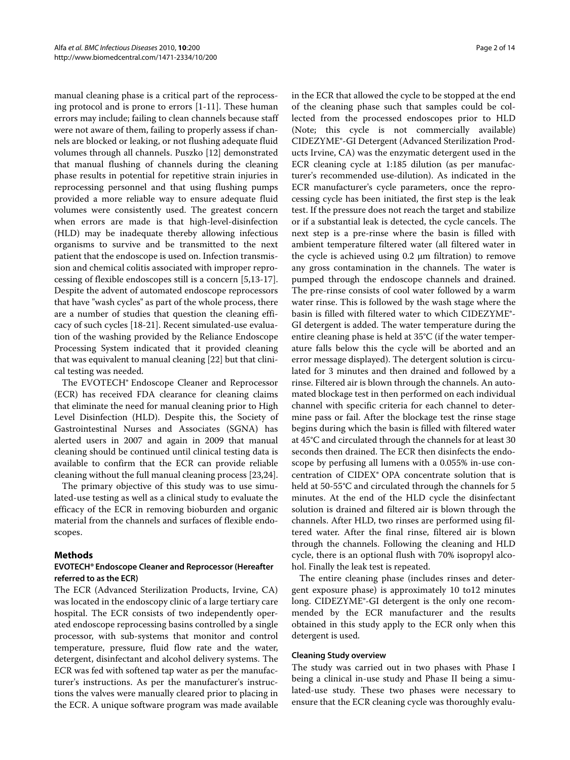manual cleaning phase is a critical part of the reprocessing protocol and is prone to errors [1-11]. These human errors may include; failing to clean channels because staff were not aware of them, failing to properly assess if channels are blocked or leaking, or not flushing adequate fluid volumes through all channels. Puszko [12] demonstrated that manual flushing of channels during the cleaning phase results in potential for repetitive strain injuries in reprocessing personnel and that using flushing pumps provided a more reliable way to ensure adequate fluid volumes were consistently used. The greatest concern when errors are made is that high-level-disinfection (HLD) may be inadequate thereby allowing infectious organisms to survive and be transmitted to the next patient that the endoscope is used on. Infection transmission and chemical colitis associated with improper reprocessing of flexible endoscopes still is a concern [5,13-17]. Despite the advent of automated endoscope reprocessors that have "wash cycles" as part of the whole process, there are a number of studies that question the cleaning efficacy of such cycles [18-21]. Recent simulated-use evaluation of the washing provided by the Reliance Endoscope Processing System indicated that it provided cleaning that was equivalent to manual cleaning [22] but that clinical testing was needed.

The EVOTECH® Endoscope Cleaner and Reprocessor (ECR) has received FDA clearance for cleaning claims that eliminate the need for manual cleaning prior to High Level Disinfection (HLD). Despite this, the Society of Gastrointestinal Nurses and Associates (SGNA) has alerted users in 2007 and again in 2009 that manual cleaning should be continued until clinical testing data is available to confirm that the ECR can provide reliable cleaning without the full manual cleaning process [23,24].

The primary objective of this study was to use simulated-use testing as well as a clinical study to evaluate the efficacy of the ECR in removing bioburden and organic material from the channels and surfaces of flexible endoscopes.

## **Methods**

## **EVOTECH® Endoscope Cleaner and Reprocessor (Hereafter referred to as the ECR)**

The ECR (Advanced Sterilization Products, Irvine, CA) was located in the endoscopy clinic of a large tertiary care hospital. The ECR consists of two independently operated endoscope reprocessing basins controlled by a single processor, with sub-systems that monitor and control temperature, pressure, fluid flow rate and the water, detergent, disinfectant and alcohol delivery systems. The ECR was fed with softened tap water as per the manufacturer's instructions. As per the manufacturer's instructions the valves were manually cleared prior to placing in the ECR. A unique software program was made available in the ECR that allowed the cycle to be stopped at the end of the cleaning phase such that samples could be collected from the processed endoscopes prior to HLD (Note; this cycle is not commercially available) CIDEZYME®-GI Detergent (Advanced Sterilization Products Irvine, CA) was the enzymatic detergent used in the ECR cleaning cycle at 1:185 dilution (as per manufacturer's recommended use-dilution). As indicated in the ECR manufacturer's cycle parameters, once the reprocessing cycle has been initiated, the first step is the leak test. If the pressure does not reach the target and stabilize or if a substantial leak is detected, the cycle cancels. The next step is a pre-rinse where the basin is filled with ambient temperature filtered water (all filtered water in the cycle is achieved using 0.2 μm filtration) to remove any gross contamination in the channels. The water is pumped through the endoscope channels and drained. The pre-rinse consists of cool water followed by a warm water rinse. This is followed by the wash stage where the basin is filled with filtered water to which CIDEZYME®- GI detergent is added. The water temperature during the entire cleaning phase is held at 35°C (if the water temperature falls below this the cycle will be aborted and an error message displayed). The detergent solution is circulated for 3 minutes and then drained and followed by a rinse. Filtered air is blown through the channels. An automated blockage test in then performed on each individual channel with specific criteria for each channel to determine pass or fail. After the blockage test the rinse stage begins during which the basin is filled with filtered water at 45°C and circulated through the channels for at least 30 seconds then drained. The ECR then disinfects the endoscope by perfusing all lumens with a 0.055% in-use concentration of CIDEX® OPA concentrate solution that is held at 50-55°C and circulated through the channels for 5 minutes. At the end of the HLD cycle the disinfectant solution is drained and filtered air is blown through the channels. After HLD, two rinses are performed using filtered water. After the final rinse, filtered air is blown through the channels. Following the cleaning and HLD cycle, there is an optional flush with 70% isopropyl alcohol. Finally the leak test is repeated.

The entire cleaning phase (includes rinses and detergent exposure phase) is approximately 10 to12 minutes long. CIDEZYME®-GI detergent is the only one recommended by the ECR manufacturer and the results obtained in this study apply to the ECR only when this detergent is used.

#### **Cleaning Study overview**

The study was carried out in two phases with Phase I being a clinical in-use study and Phase II being a simulated-use study. These two phases were necessary to ensure that the ECR cleaning cycle was thoroughly evalu-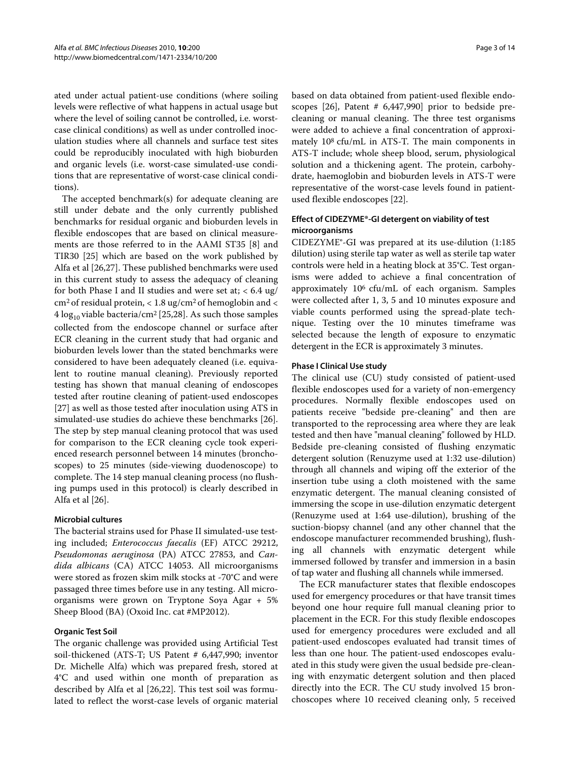ated under actual patient-use conditions (where soiling levels were reflective of what happens in actual usage but where the level of soiling cannot be controlled, i.e. worstcase clinical conditions) as well as under controlled inoculation studies where all channels and surface test sites could be reproducibly inoculated with high bioburden and organic levels (i.e. worst-case simulated-use conditions that are representative of worst-case clinical conditions).

The accepted benchmark(s) for adequate cleaning are still under debate and the only currently published benchmarks for residual organic and bioburden levels in flexible endoscopes that are based on clinical measurements are those referred to in the AAMI ST35 [8] and TIR30 [25] which are based on the work published by Alfa et al [26,27]. These published benchmarks were used in this current study to assess the adequacy of cleaning for both Phase I and II studies and were set at;  $< 6.4$  ug/  $\text{cm}^2$  of residual protein, < 1.8 ug/cm<sup>2</sup> of hemoglobin and < 4  $\log_{10}$  viable bacteria/cm<sup>2</sup> [25,28]. As such those samples collected from the endoscope channel or surface after ECR cleaning in the current study that had organic and bioburden levels lower than the stated benchmarks were considered to have been adequately cleaned (i.e. equivalent to routine manual cleaning). Previously reported testing has shown that manual cleaning of endoscopes tested after routine cleaning of patient-used endoscopes [27] as well as those tested after inoculation using ATS in simulated-use studies do achieve these benchmarks [26]. The step by step manual cleaning protocol that was used for comparison to the ECR cleaning cycle took experienced research personnel between 14 minutes (bronchoscopes) to 25 minutes (side-viewing duodenoscope) to complete. The 14 step manual cleaning process (no flushing pumps used in this protocol) is clearly described in Alfa et al [26].

## **Microbial cultures**

The bacterial strains used for Phase II simulated-use testing included; *Enterococcus faecalis* (EF) ATCC 29212, *Pseudomonas aeruginosa* (PA) ATCC 27853, and *Candida albicans* (CA) ATCC 14053. All microorganisms were stored as frozen skim milk stocks at -70°C and were passaged three times before use in any testing. All microorganisms were grown on Tryptone Soya Agar + 5% Sheep Blood (BA) (Oxoid Inc. cat #MP2012).

## **Organic Test Soil**

The organic challenge was provided using Artificial Test soil-thickened (ATS-T; US Patent # 6,447,990; inventor Dr. Michelle Alfa) which was prepared fresh, stored at 4°C and used within one month of preparation as described by Alfa et al [26,22]. This test soil was formulated to reflect the worst-case levels of organic material based on data obtained from patient-used flexible endoscopes [26], Patent # 6,447,990] prior to bedside precleaning or manual cleaning. The three test organisms were added to achieve a final concentration of approximately 108 cfu/mL in ATS-T. The main components in ATS-T include; whole sheep blood, serum, physiological solution and a thickening agent. The protein, carbohydrate, haemoglobin and bioburden levels in ATS-T were representative of the worst-case levels found in patientused flexible endoscopes [22].

## **Effect of CIDEZYME®-GI detergent on viability of test microorganisms**

CIDEZYME®-GI was prepared at its use-dilution (1:185 dilution) using sterile tap water as well as sterile tap water controls were held in a heating block at 35°C. Test organisms were added to achieve a final concentration of approximately 106 cfu/mL of each organism. Samples were collected after 1, 3, 5 and 10 minutes exposure and viable counts performed using the spread-plate technique. Testing over the 10 minutes timeframe was selected because the length of exposure to enzymatic detergent in the ECR is approximately 3 minutes.

## **Phase I Clinical Use study**

The clinical use (CU) study consisted of patient-used flexible endoscopes used for a variety of non-emergency procedures. Normally flexible endoscopes used on patients receive "bedside pre-cleaning" and then are transported to the reprocessing area where they are leak tested and then have "manual cleaning" followed by HLD. Bedside pre-cleaning consisted of flushing enzymatic detergent solution (Renuzyme used at 1:32 use-dilution) through all channels and wiping off the exterior of the insertion tube using a cloth moistened with the same enzymatic detergent. The manual cleaning consisted of immersing the scope in use-dilution enzymatic detergent (Renuzyme used at 1:64 use-dilution), brushing of the suction-biopsy channel (and any other channel that the endoscope manufacturer recommended brushing), flushing all channels with enzymatic detergent while immersed followed by transfer and immersion in a basin of tap water and flushing all channels while immersed.

The ECR manufacturer states that flexible endoscopes used for emergency procedures or that have transit times beyond one hour require full manual cleaning prior to placement in the ECR. For this study flexible endoscopes used for emergency procedures were excluded and all patient-used endoscopes evaluated had transit times of less than one hour. The patient-used endoscopes evaluated in this study were given the usual bedside pre-cleaning with enzymatic detergent solution and then placed directly into the ECR. The CU study involved 15 bronchoscopes where 10 received cleaning only, 5 received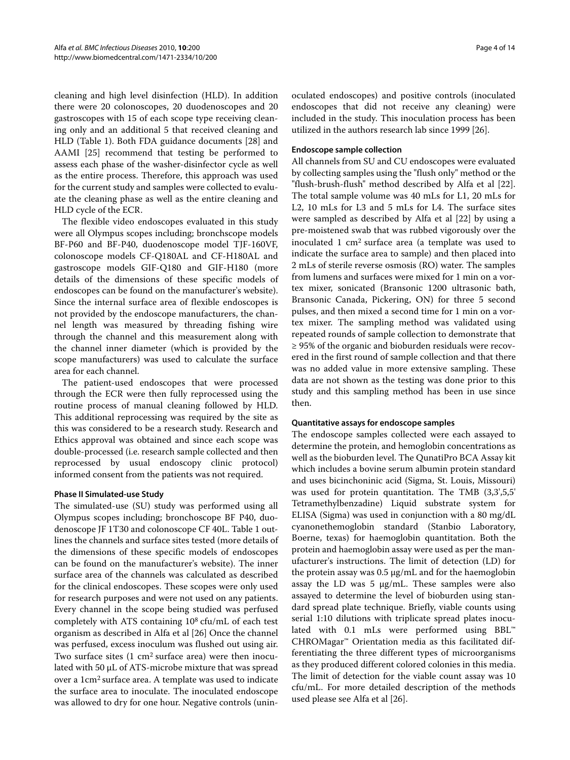cleaning and high level disinfection (HLD). In addition there were 20 colonoscopes, 20 duodenoscopes and 20 gastroscopes with 15 of each scope type receiving cleaning only and an additional 5 that received cleaning and HLD (Table 1). Both FDA guidance documents [28] and AAMI [25] recommend that testing be performed to assess each phase of the washer-disinfector cycle as well as the entire process. Therefore, this approach was used for the current study and samples were collected to evaluate the cleaning phase as well as the entire cleaning and HLD cycle of the ECR.

The flexible video endoscopes evaluated in this study were all Olympus scopes including; bronchscope models BF-P60 and BF-P40, duodenoscope model TJF-160VF, colonoscope models CF-Q180AL and CF-H180AL and gastroscope models GIF-Q180 and GIF-H180 (more details of the dimensions of these specific models of endoscopes can be found on the manufacturer's website). Since the internal surface area of flexible endoscopes is not provided by the endoscope manufacturers, the channel length was measured by threading fishing wire through the channel and this measurement along with the channel inner diameter (which is provided by the scope manufacturers) was used to calculate the surface area for each channel.

The patient-used endoscopes that were processed through the ECR were then fully reprocessed using the routine process of manual cleaning followed by HLD. This additional reprocessing was required by the site as this was considered to be a research study. Research and Ethics approval was obtained and since each scope was double-processed (i.e. research sample collected and then reprocessed by usual endoscopy clinic protocol) informed consent from the patients was not required.

## **Phase II Simulated-use Study**

The simulated-use (SU) study was performed using all Olympus scopes including; bronchoscope BF P40, duodenoscope JF 1T30 and colonoscope CF 40L. Table 1 outlines the channels and surface sites tested (more details of the dimensions of these specific models of endoscopes can be found on the manufacturer's website). The inner surface area of the channels was calculated as described for the clinical endoscopes. These scopes were only used for research purposes and were not used on any patients. Every channel in the scope being studied was perfused completely with ATS containing 108 cfu/mL of each test organism as described in Alfa et al [26] Once the channel was perfused, excess inoculum was flushed out using air. Two surface sites (1 cm2 surface area) were then inoculated with 50 μL of ATS-microbe mixture that was spread over a 1cm2 surface area. A template was used to indicate the surface area to inoculate. The inoculated endoscope was allowed to dry for one hour. Negative controls (uninoculated endoscopes) and positive controls (inoculated endoscopes that did not receive any cleaning) were included in the study. This inoculation process has been utilized in the authors research lab since 1999 [26].

#### **Endoscope sample collection**

All channels from SU and CU endoscopes were evaluated by collecting samples using the "flush only" method or the "flush-brush-flush" method described by Alfa et al [22]. The total sample volume was 40 mLs for L1, 20 mLs for L2, 10 mLs for L3 and 5 mLs for L4. The surface sites were sampled as described by Alfa et al [22] by using a pre-moistened swab that was rubbed vigorously over the inoculated 1 cm2 surface area (a template was used to indicate the surface area to sample) and then placed into 2 mLs of sterile reverse osmosis (RO) water. The samples from lumens and surfaces were mixed for 1 min on a vortex mixer, sonicated (Bransonic 1200 ultrasonic bath, Bransonic Canada, Pickering, ON) for three 5 second pulses, and then mixed a second time for 1 min on a vortex mixer. The sampling method was validated using repeated rounds of sample collection to demonstrate that ≥ 95% of the organic and bioburden residuals were recovered in the first round of sample collection and that there was no added value in more extensive sampling. These data are not shown as the testing was done prior to this study and this sampling method has been in use since then.

#### **Quantitative assays for endoscope samples**

The endoscope samples collected were each assayed to determine the protein, and hemoglobin concentrations as well as the bioburden level. The QunatiPro BCA Assay kit which includes a bovine serum albumin protein standard and uses bicinchoninic acid (Sigma, St. Louis, Missouri) was used for protein quantitation. The TMB (3,3',5,5' Tetramethylbenzadine) Liquid substrate system for ELISA (Sigma) was used in conjunction with a 80 mg/dL cyanonethemoglobin standard (Stanbio Laboratory, Boerne, texas) for haemoglobin quantitation. Both the protein and haemoglobin assay were used as per the manufacturer's instructions. The limit of detection (LD) for the protein assay was 0.5 μg/mL and for the haemoglobin assay the LD was 5 μg/mL. These samples were also assayed to determine the level of bioburden using standard spread plate technique. Briefly, viable counts using serial 1:10 dilutions with triplicate spread plates inoculated with 0.1 mLs were performed using BBL™ CHROMagar™ Orientation media as this facilitated differentiating the three different types of microorganisms as they produced different colored colonies in this media. The limit of detection for the viable count assay was 10 cfu/mL. For more detailed description of the methods used please see Alfa et al [26].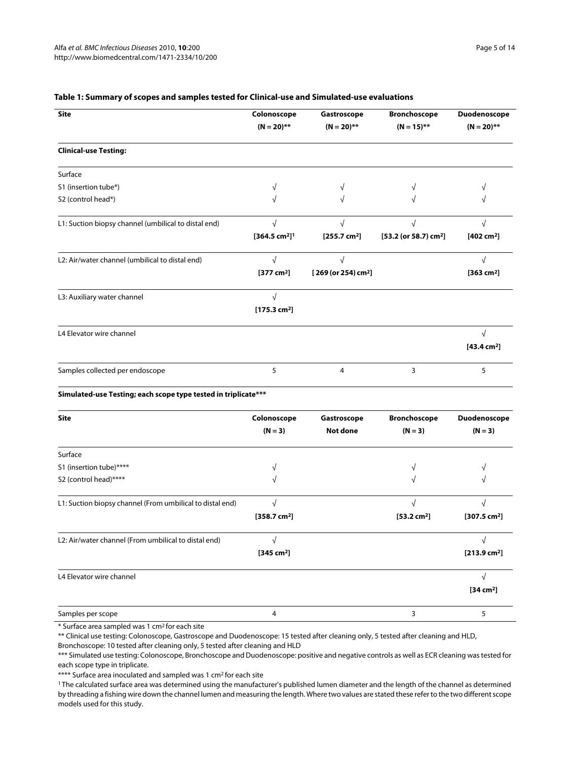| <b>Site</b>                                                    | Colonoscope<br>$(N = 20)$ **        | Gastroscope<br>$(N = 20)$ **    | <b>Bronchoscope</b><br>$(N = 15)$ ** | Duodenoscope<br>$(N = 20)$ ** |
|----------------------------------------------------------------|-------------------------------------|---------------------------------|--------------------------------------|-------------------------------|
|                                                                |                                     |                                 |                                      |                               |
| <b>Clinical-use Testing:</b>                                   |                                     |                                 |                                      |                               |
| Surface                                                        |                                     |                                 |                                      |                               |
| S1 (insertion tube*)                                           | √                                   | √                               |                                      |                               |
| S2 (control head*)                                             |                                     |                                 |                                      |                               |
| L1: Suction biopsy channel (umbilical to distal end)           | $\sqrt{}$                           | $\sqrt{}$                       |                                      |                               |
|                                                                | $[364.5 \text{ cm}^2]$ <sup>1</sup> | [255.7 cm <sup>2</sup> ]        | [53.2 (or 58.7) cm <sup>2</sup> ]    | [402 cm <sup>2</sup> ]        |
| L2: Air/water channel (umbilical to distal end)                | $\sqrt{ }$                          | $\sqrt{ }$                      |                                      | $\sqrt{ }$                    |
|                                                                | [377 cm <sup>2</sup> ]              | [269 (or 254) cm <sup>2</sup> ] |                                      | [363 cm <sup>2</sup> ]        |
| L3: Auxiliary water channel                                    | $\sqrt{}$                           |                                 |                                      |                               |
|                                                                | $[175.3 \text{ cm}^2]$              |                                 |                                      |                               |
| L4 Elevator wire channel                                       |                                     |                                 |                                      | $\sqrt{ }$                    |
|                                                                |                                     |                                 |                                      | $[43.4 \text{ cm}^2]$         |
| Samples collected per endoscope                                | 5                                   | 4                               | 3                                    | 5                             |
| Simulated-use Testing; each scope type tested in triplicate*** |                                     |                                 |                                      |                               |
| <b>Site</b>                                                    | Colonoscope                         | Gastroscope                     | <b>Bronchoscope</b>                  | Duodenoscope                  |
|                                                                | $(N = 3)$                           | Not done                        | $(N = 3)$                            | $(N = 3)$                     |
| Surface                                                        |                                     |                                 |                                      |                               |
| S1 (insertion tube)****                                        | √                                   |                                 |                                      |                               |
| S2 (control head)****                                          | √                                   |                                 |                                      |                               |
| L1: Suction biopsy channel (From umbilical to distal end)      | $\sqrt{ }$                          |                                 | $\sqrt{ }$                           | $\sqrt{ }$                    |
|                                                                | [358.7 cm <sup>2</sup> ]            |                                 | $[53.2 \text{ cm}^2]$                | $[307.5 \text{ cm}^2]$        |
| L2: Air/water channel (From umbilical to distal end)           | $\sqrt{}$                           |                                 |                                      | √                             |
|                                                                | [345 cm <sup>2</sup> ]              |                                 |                                      | [213.9 cm <sup>2</sup> ]      |
| L4 Elevator wire channel                                       |                                     |                                 |                                      | $\sqrt{ }$                    |
|                                                                |                                     |                                 |                                      | [34 cm <sup>2</sup> ]         |
| Samples per scope                                              | 4                                   |                                 | 3                                    | 5                             |

## **Table 1: Summary of scopes and samples tested for Clinical-use and Simulated-use evaluations**

\* Surface area sampled was 1 cm2 for each site

\*\* Clinical use testing: Colonoscope, Gastroscope and Duodenoscope: 15 tested after cleaning only, 5 tested after cleaning and HLD,

Bronchoscope: 10 tested after cleaning only, 5 tested after cleaning and HLD

\*\*\* Simulated use testing: Colonoscope, Bronchoscope and Duodenoscope: positive and negative controls as well as ECR cleaning was tested for each scope type in triplicate.

\*\*\*\* Surface area inoculated and sampled was 1 cm2 for each site

<sup>1</sup> The calculated surface area was determined using the manufacturer's published lumen diameter and the length of the channel as determined by threading a fishing wire down the channel lumen and measuring the length. Where two values are stated these refer to the two different scope models used for this study.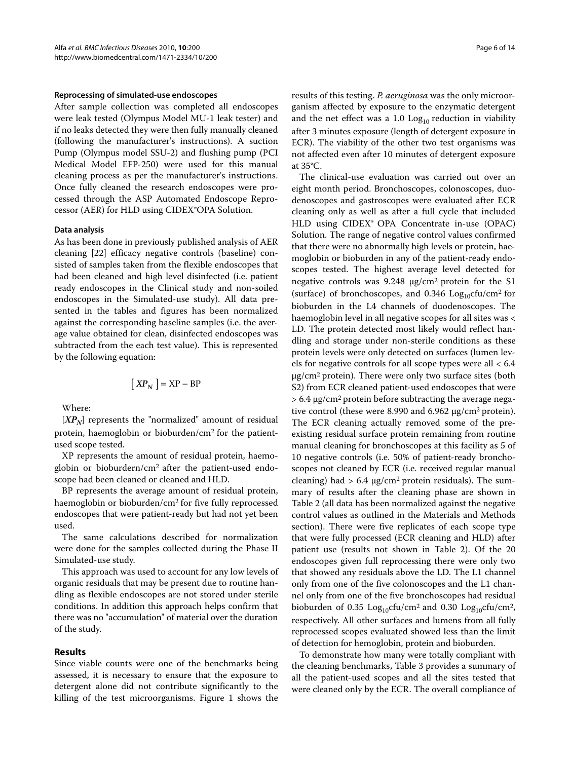#### **Reprocessing of simulated-use endoscopes**

After sample collection was completed all endoscopes were leak tested (Olympus Model MU-1 leak tester) and if no leaks detected they were then fully manually cleaned (following the manufacturer's instructions). A suction Pump (Olympus model SSU-2) and flushing pump (PCI Medical Model EFP-250) were used for this manual cleaning process as per the manufacturer's instructions. Once fully cleaned the research endoscopes were processed through the ASP Automated Endoscope Reprocessor (AER) for HLD using CIDEX®OPA Solution.

#### **Data analysis**

As has been done in previously published analysis of AER cleaning [22] efficacy negative controls (baseline) consisted of samples taken from the flexible endoscopes that had been cleaned and high level disinfected (i.e. patient ready endoscopes in the Clinical study and non-soiled endoscopes in the Simulated-use study). All data presented in the tables and figures has been normalized against the corresponding baseline samples (i.e. the average value obtained for clean, disinfected endoscopes was subtracted from the each test value). This is represented by the following equation:

$$
\left[\;XP_{N}\;\right]=\mathrm{XP}-\mathrm{BP}
$$

Where:

 $[XP_N]$  represents the "normalized" amount of residual protein, haemoglobin or bioburden/cm2 for the patientused scope tested.

XP represents the amount of residual protein, haemoglobin or bioburdern/cm2 after the patient-used endoscope had been cleaned or cleaned and HLD.

BP represents the average amount of residual protein, haemoglobin or bioburden/cm2 for five fully reprocessed endoscopes that were patient-ready but had not yet been used.

The same calculations described for normalization were done for the samples collected during the Phase II Simulated-use study.

This approach was used to account for any low levels of organic residuals that may be present due to routine handling as flexible endoscopes are not stored under sterile conditions. In addition this approach helps confirm that there was no "accumulation" of material over the duration of the study.

#### **Results**

Since viable counts were one of the benchmarks being assessed, it is necessary to ensure that the exposure to detergent alone did not contribute significantly to the killing of the test microorganisms. Figure 1 shows the

results of this testing. *P. aeruginosa* was the only microorganism affected by exposure to the enzymatic detergent and the net effect was a 1.0  $Log<sub>10</sub>$  reduction in viability after 3 minutes exposure (length of detergent exposure in ECR). The viability of the other two test organisms was not affected even after 10 minutes of detergent exposure at 35°C.

The clinical-use evaluation was carried out over an eight month period. Bronchoscopes, colonoscopes, duodenoscopes and gastroscopes were evaluated after ECR cleaning only as well as after a full cycle that included HLD using CIDEX® OPA Concentrate in-use (OPAC) Solution. The range of negative control values confirmed that there were no abnormally high levels or protein, haemoglobin or bioburden in any of the patient-ready endoscopes tested. The highest average level detected for negative controls was 9.248 μg/cm2 protein for the S1 (surface) of bronchoscopes, and 0.346  $Log<sub>10</sub>$ cfu/cm<sup>2</sup> for bioburden in the L4 channels of duodenoscopes. The haemoglobin level in all negative scopes for all sites was < LD. The protein detected most likely would reflect handling and storage under non-sterile conditions as these protein levels were only detected on surfaces (lumen levels for negative controls for all scope types were all < 6.4 μg/cm2 protein). There were only two surface sites (both S2) from ECR cleaned patient-used endoscopes that were  $> 6.4 \mu$ g/cm<sup>2</sup> protein before subtracting the average negative control (these were 8.990 and 6.962 μg/cm2 protein). The ECR cleaning actually removed some of the preexisting residual surface protein remaining from routine manual cleaning for bronchoscopes at this facility as 5 of 10 negative controls (i.e. 50% of patient-ready bronchoscopes not cleaned by ECR (i.e. received regular manual cleaning) had  $> 6.4 \mu g/cm^2$  protein residuals). The summary of results after the cleaning phase are shown in Table 2 (all data has been normalized against the negative control values as outlined in the Materials and Methods section). There were five replicates of each scope type that were fully processed (ECR cleaning and HLD) after patient use (results not shown in Table 2). Of the 20 endoscopes given full reprocessing there were only two that showed any residuals above the LD. The L1 channel only from one of the five colonoscopes and the L1 channel only from one of the five bronchoscopes had residual bioburden of 0.35 Log<sub>10</sub>cfu/cm<sup>2</sup> and 0.30 Log<sub>10</sub>cfu/cm<sup>2</sup>, respectively. All other surfaces and lumens from all fully reprocessed scopes evaluated showed less than the limit of detection for hemoglobin, protein and bioburden.

To demonstrate how many were totally compliant with the cleaning benchmarks, Table 3 provides a summary of all the patient-used scopes and all the sites tested that were cleaned only by the ECR. The overall compliance of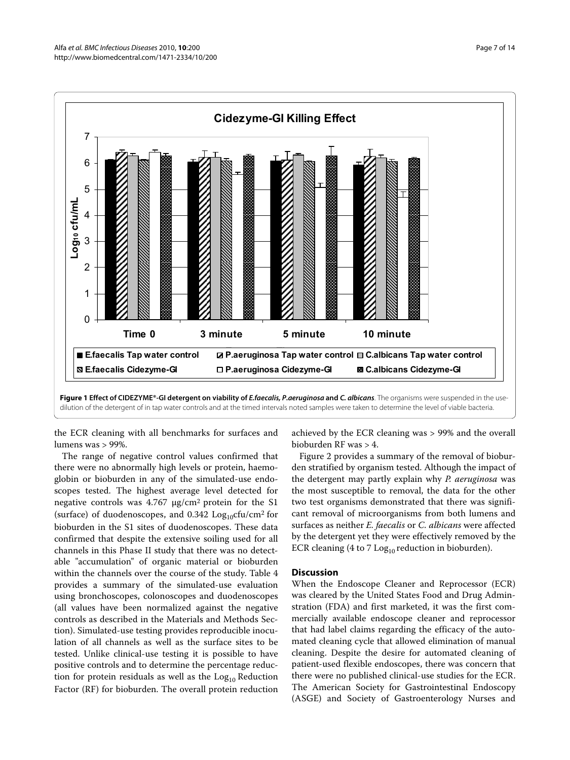

**Figure 1 Effect of CIDEZYME®-GI detergent on viability of** *E.faecalis, P.aeruginosa* **and** *C. albicans*. The organisms were suspended in the usedilution of the detergent of in tap water controls and at the timed intervals noted samples were taken to determine the level of viable bacteria.

the ECR cleaning with all benchmarks for surfaces and lumens was > 99%.

The range of negative control values confirmed that there were no abnormally high levels or protein, haemoglobin or bioburden in any of the simulated-use endoscopes tested. The highest average level detected for negative controls was 4.767 μg/cm2 protein for the S1 (surface) of duodenoscopes, and  $0.342$  Log<sub>10</sub>cfu/cm<sup>2</sup> for bioburden in the S1 sites of duodenoscopes. These data confirmed that despite the extensive soiling used for all channels in this Phase II study that there was no detectable "accumulation" of organic material or bioburden within the channels over the course of the study. Table 4 provides a summary of the simulated-use evaluation using bronchoscopes, colonoscopes and duodenoscopes (all values have been normalized against the negative controls as described in the Materials and Methods Section). Simulated-use testing provides reproducible inoculation of all channels as well as the surface sites to be tested. Unlike clinical-use testing it is possible to have positive controls and to determine the percentage reduction for protein residuals as well as the  $Log<sub>10</sub>$  Reduction Factor (RF) for bioburden. The overall protein reduction

achieved by the ECR cleaning was > 99% and the overall bioburden RF was > 4.

Figure 2 provides a summary of the removal of bioburden stratified by organism tested. Although the impact of the detergent may partly explain why *P. aeruginosa* was the most susceptible to removal, the data for the other two test organisms demonstrated that there was significant removal of microorganisms from both lumens and surfaces as neither *E. faecalis* or *C. albicans* were affected by the detergent yet they were effectively removed by the ECR cleaning (4 to 7  $Log<sub>10</sub>$  reduction in bioburden).

## **Discussion**

When the Endoscope Cleaner and Reprocessor (ECR) was cleared by the United States Food and Drug Adminstration (FDA) and first marketed, it was the first commercially available endoscope cleaner and reprocessor that had label claims regarding the efficacy of the automated cleaning cycle that allowed elimination of manual cleaning. Despite the desire for automated cleaning of patient-used flexible endoscopes, there was concern that there were no published clinical-use studies for the ECR. The American Society for Gastrointestinal Endoscopy (ASGE) and Society of Gastroenterology Nurses and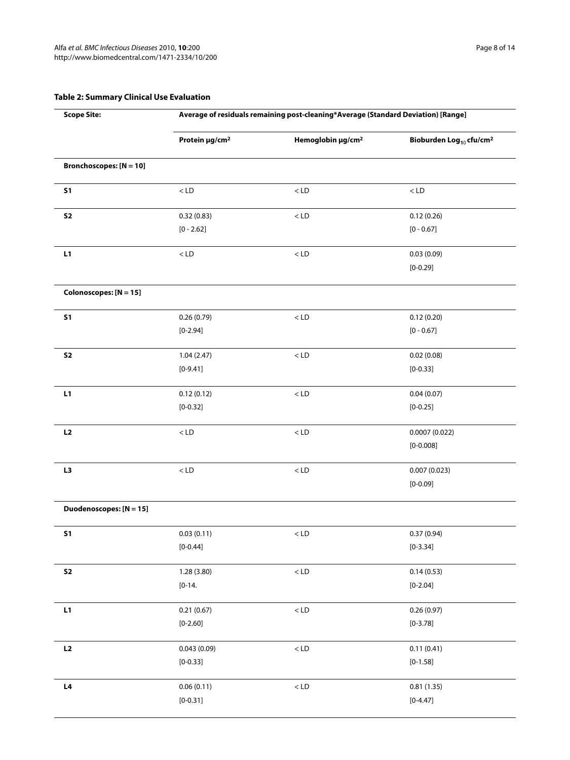## **Table 2: Summary Clinical Use Evaluation**

| <b>Scope Site:</b>             | Average of residuals remaining post-cleaning*Average (Standard Deviation) [Range] |                               |                                                 |  |  |
|--------------------------------|-----------------------------------------------------------------------------------|-------------------------------|-------------------------------------------------|--|--|
|                                | Protein µg/cm <sup>2</sup>                                                        | Hemoglobin µg/cm <sup>2</sup> | Bioburden Log <sub>10</sub> cfu/cm <sup>2</sup> |  |  |
| <b>Bronchoscopes: [N = 10]</b> |                                                                                   |                               |                                                 |  |  |
| <b>S1</b>                      | $<$ LD $\,$                                                                       | $<$ LD $\,$                   | $<$ LD $\,$                                     |  |  |
| ${\sf S2}$                     | 0.32(0.83)                                                                        | $<$ LD $\,$                   | 0.12(0.26)                                      |  |  |
|                                | $[0 - 2.62]$                                                                      |                               | $[0 - 0.67]$                                    |  |  |
| L1                             | $<$ LD $\,$                                                                       | $<$ LD $\,$                   | 0.03(0.09)                                      |  |  |
|                                |                                                                                   |                               | $[0 - 0.29]$                                    |  |  |
| Colonoscopes: [N = 15]         |                                                                                   |                               |                                                 |  |  |
| <b>S1</b>                      | 0.26(0.79)                                                                        | $<$ LD $\,$                   | 0.12(0.20)                                      |  |  |
|                                | $[0-2.94]$                                                                        |                               | $[0 - 0.67]$                                    |  |  |
| <b>S2</b>                      | 1.04(2.47)                                                                        | $<$ LD $\,$                   | 0.02(0.08)                                      |  |  |
|                                | $[0 - 9.41]$                                                                      |                               | $[0 - 0.33]$                                    |  |  |
| L1                             | 0.12(0.12)                                                                        | $<$ LD $\,$                   | 0.04(0.07)                                      |  |  |
|                                | $[0 - 0.32]$                                                                      |                               | $[0 - 0.25]$                                    |  |  |
| L2                             | $<$ LD $\,$                                                                       | $<$ LD $\,$                   | 0.0007(0.022)                                   |  |  |
|                                |                                                                                   |                               | $[0 - 0.008]$                                   |  |  |
| L3                             | $<$ LD $\,$                                                                       | $<$ LD $\,$                   | 0.007(0.023)                                    |  |  |
|                                |                                                                                   |                               | $[0 - 0.09]$                                    |  |  |
| Duodenoscopes: [N = 15]        |                                                                                   |                               |                                                 |  |  |
| <b>S1</b>                      | 0.03(0.11)                                                                        | $<$ LD $\,$                   | 0.37(0.94)                                      |  |  |
|                                | $[0 - 0.44]$                                                                      |                               | $[0-3.34]$                                      |  |  |
| ${\sf S2}$                     | 1.28 (3.80)                                                                       | $<$ LD $\,$                   | 0.14(0.53)                                      |  |  |
|                                | $[0-14]$                                                                          |                               | $[0-2.04]$                                      |  |  |
| L1                             | 0.21(0.67)                                                                        | $<$ LD $\,$                   | 0.26(0.97)                                      |  |  |
|                                | $[0-2.60]$                                                                        |                               | $[0-3.78]$                                      |  |  |
| L2                             | 0.043(0.09)                                                                       | $<$ LD $\,$                   | 0.11(0.41)                                      |  |  |
|                                | $[0 - 0.33]$                                                                      |                               | $[0-1.58]$                                      |  |  |
| L4                             | 0.06(0.11)                                                                        | $<$ LD $\,$                   | 0.81(1.35)                                      |  |  |
|                                | $[0 - 0.31]$                                                                      |                               | $[0 - 4.47]$                                    |  |  |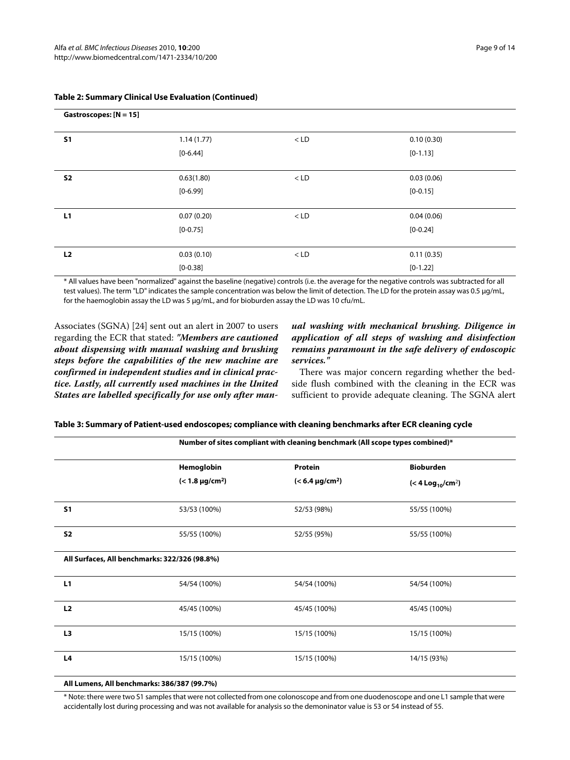| Gastroscopes: [N = 15] |              |             |              |
|------------------------|--------------|-------------|--------------|
| S <sub>1</sub>         | 1.14(1.77)   | $<$ LD $\,$ | 0.10(0.30)   |
|                        | $[0 - 6.44]$ |             | $[0-1.13]$   |
| <b>S2</b>              | 0.63(1.80)   | $<$ LD $\,$ | 0.03(0.06)   |
|                        | $[0 - 6.99]$ |             | $[0 - 0.15]$ |
| L1                     | 0.07(0.20)   | $<$ LD $\,$ | 0.04(0.06)   |
|                        | $[0 - 0.75]$ |             | $[0 - 0.24]$ |
| L2                     | 0.03(0.10)   | $<$ LD $\,$ | 0.11(0.35)   |
|                        | $[0 - 0.38]$ |             | $[0-1.22]$   |

#### **Table 2: Summary Clinical Use Evaluation (Continued)**

\* All values have been "normalized" against the baseline (negative) controls (i.e. the average for the negative controls was subtracted for all test values). The term "LD" indicates the sample concentration was below the limit of detection. The LD for the protein assay was 0.5 μg/mL, for the haemoglobin assay the LD was 5 μg/mL, and for bioburden assay the LD was 10 cfu/mL.

Associates (SGNA) [24] sent out an alert in 2007 to users regarding the ECR that stated: *"Members are cautioned about dispensing with manual washing and brushing steps before the capabilities of the new machine are confirmed in independent studies and in clinical practice. Lastly, all currently used machines in the United States are labelled specifically for use only after man-*

## *ual washing with mechanical brushing. Diligence in application of all steps of washing and disinfection remains paramount in the safe delivery of endoscopic services."*

There was major concern regarding whether the bedside flush combined with the cleaning in the ECR was sufficient to provide adequate cleaning. The SGNA alert

|                | Number of sites compliant with cleaning benchmark (All scope types combined)* |                       |                                             |  |
|----------------|-------------------------------------------------------------------------------|-----------------------|---------------------------------------------|--|
|                | Hemoglobin                                                                    | Protein               | <b>Bioburden</b>                            |  |
|                | $(< 1.8 \,\mu g/cm2)$                                                         | $(< 6.4 \,\mu g/cm2)$ | $(<$ 4 Log <sub>10</sub> /cm <sup>2</sup> ) |  |
| S <sub>1</sub> | 53/53 (100%)                                                                  | 52/53 (98%)           | 55/55 (100%)                                |  |
| <b>S2</b>      | 55/55 (100%)                                                                  | 52/55 (95%)           | 55/55 (100%)                                |  |
|                | All Surfaces, All benchmarks: 322/326 (98.8%)                                 |                       |                                             |  |
| L1             | 54/54 (100%)                                                                  | 54/54 (100%)          | 54/54 (100%)                                |  |
| L <sub>2</sub> | 45/45 (100%)                                                                  | 45/45 (100%)          | 45/45 (100%)                                |  |
| L <sub>3</sub> | 15/15 (100%)                                                                  | 15/15 (100%)          | 15/15 (100%)                                |  |
| L4             | 15/15 (100%)                                                                  | 15/15 (100%)          | 14/15 (93%)                                 |  |
|                | All Lumens, All benchmarks: 386/387 (99.7%)                                   |                       |                                             |  |

#### **Table 3: Summary of Patient-used endoscopes; compliance with cleaning benchmarks after ECR cleaning cycle**

\* Note: there were two S1 samples that were not collected from one colonoscope and from one duodenoscope and one L1 sample that were accidentally lost during processing and was not available for analysis so the demoninator value is 53 or 54 instead of 55.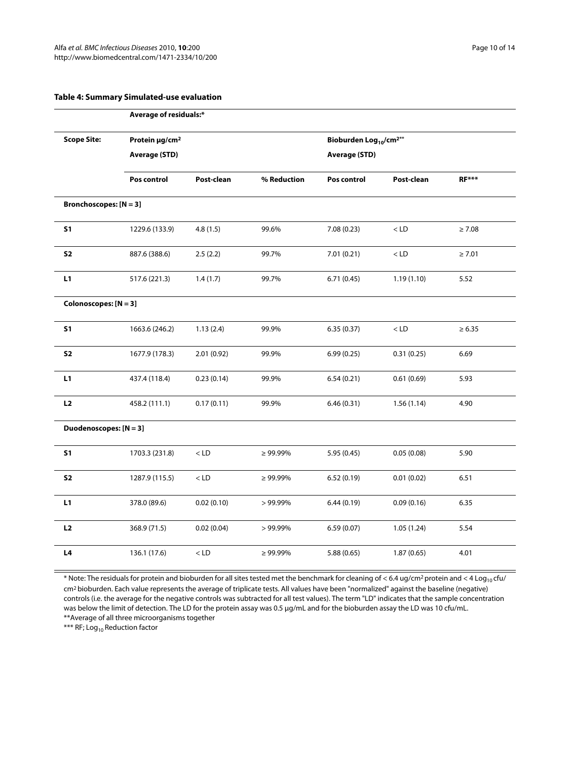## **Table 4: Summary Simulated-use evaluation**

| <b>Scope Site:</b><br>Protein µg/cm <sup>2</sup><br>Average (STD)<br>Pos control |             |                        | Bioburden Log <sub>10</sub> /cm <sup>2**</sup> |             |              |
|----------------------------------------------------------------------------------|-------------|------------------------|------------------------------------------------|-------------|--------------|
|                                                                                  |             |                        | <b>Average (STD)</b>                           |             |              |
|                                                                                  | Post-clean  | % Reduction            | Pos control                                    | Post-clean  | <b>RF***</b> |
| <b>Bronchoscopes:</b> $[N = 3]$                                                  |             |                        |                                                |             |              |
| 1229.6 (133.9)                                                                   | 4.8(1.5)    | 99.6%                  | 7.08(0.23)                                     | $<$ LD $\,$ | $\geq 7.08$  |
| 887.6 (388.6)                                                                    | 2.5(2.2)    | 99.7%                  | 7.01(0.21)                                     | $<$ LD $\,$ | $\geq 7.01$  |
| 517.6 (221.3)                                                                    | 1.4(1.7)    | 99.7%                  | 6.71(0.45)                                     | 1.19(1.10)  | 5.52         |
| Colonoscopes: $[N = 3]$                                                          |             |                        |                                                |             |              |
| 1663.6 (246.2)                                                                   | 1.13(2.4)   | 99.9%                  | 6.35(0.37)                                     | $<$ LD      | $\ge 6.35$   |
| 1677.9 (178.3)                                                                   | 2.01(0.92)  | 99.9%                  | 6.99(0.25)                                     | 0.31(0.25)  | 6.69         |
| 437.4 (118.4)                                                                    | 0.23(0.14)  | 99.9%                  | 6.54(0.21)                                     | 0.61(0.69)  | 5.93         |
| 458.2 (111.1)                                                                    | 0.17(0.11)  | 99.9%                  | 6.46(0.31)                                     | 1.56(1.14)  | 4.90         |
| Duodenoscopes: $[N = 3]$                                                         |             |                        |                                                |             |              |
| 1703.3 (231.8)                                                                   | $<$ LD $\,$ | $\geq 99.99\%$         | 5.95 (0.45)                                    | 0.05(0.08)  | 5.90         |
| 1287.9 (115.5)                                                                   | $<$ LD $\,$ | $\geq 99.99\%$         | 6.52(0.19)                                     | 0.01(0.02)  | 6.51         |
| 378.0 (89.6)                                                                     | 0.02(0.10)  | $>99.99\%$             | 6.44(0.19)                                     | 0.09(0.16)  | 6.35         |
| 368.9 (71.5)                                                                     | 0.02(0.04)  | $>99.99\%$             | 6.59(0.07)                                     | 1.05(1.24)  | 5.54         |
| 136.1 (17.6)                                                                     | $<$ LD      | $\geq 99.99\%$         | 5.88(0.65)                                     | 1.87(0.65)  | 4.01         |
|                                                                                  |             | Average of residuals:* |                                                |             |              |

\* Note: The residuals for protein and bioburden for all sites tested met the benchmark for cleaning of < 6.4 ug/cm<sup>2</sup> protein and < 4 Log<sub>10</sub> cfu/ cm2 bioburden. Each value represents the average of triplicate tests. All values have been "normalized" against the baseline (negative) controls (i.e. the average for the negative controls was subtracted for all test values). The term "LD" indicates that the sample concentration was below the limit of detection. The LD for the protein assay was 0.5 μg/mL and for the bioburden assay the LD was 10 cfu/mL. \*\*Average of all three microorganisms together

\*\*\* RF; Log<sub>10</sub> Reduction factor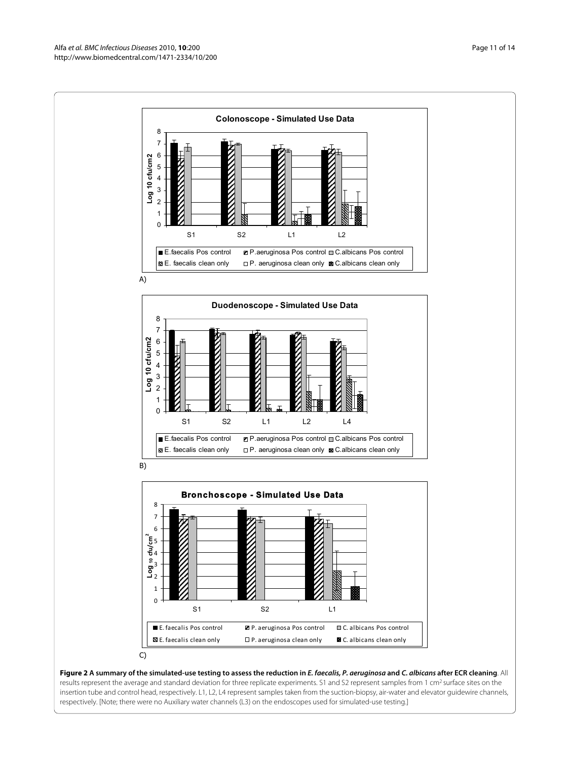

**Figure 2** A summary of the simulated-use testing to assess the reduction in *E. faecalis, P. aeruginosa* and *C. albicans* after ECR cleaning. All results represent the average and standard deviation for three replicate experiments. S1 and S2 represent samples from 1 cm<sup>2</sup> surface sites on the insertion tube and control head, respectively. L1, L2, L4 represent samples taken from the suction-biopsy, air-water and elevator guidewire channels, respectively. [Note; there were no Auxiliary water channels (L3) on the endoscopes used for simulated-use testing.]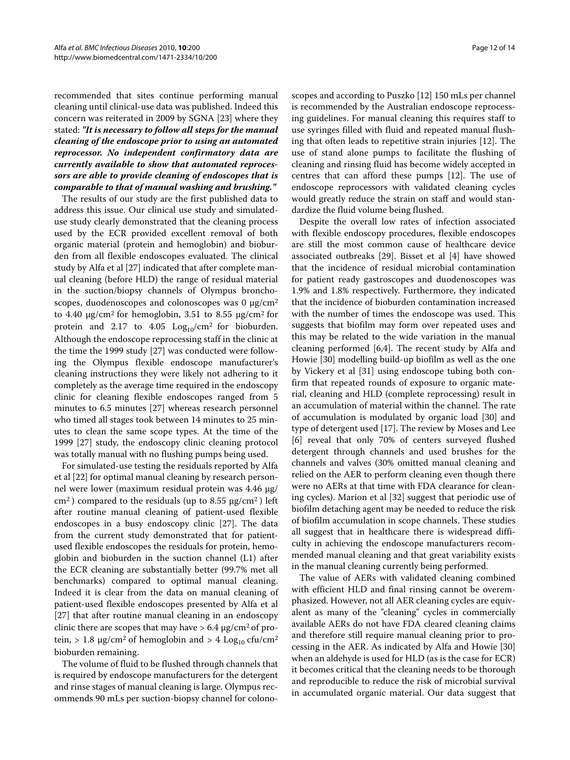recommended that sites continue performing manual cleaning until clinical-use data was published. Indeed this concern was reiterated in 2009 by SGNA [23] where they stated: *"It is necessary to follow all steps for the manual cleaning of the endoscope prior to using an automated reprocessor. No independent confirmatory data are currently available to show that automated reprocessors are able to provide cleaning of endoscopes that is comparable to that of manual washing and brushing."*

The results of our study are the first published data to address this issue. Our clinical use study and simulateduse study clearly demonstrated that the cleaning process used by the ECR provided excellent removal of both organic material (protein and hemoglobin) and bioburden from all flexible endoscopes evaluated. The clinical study by Alfa et al [27] indicated that after complete manual cleaning (before HLD) the range of residual material in the suction/biopsy channels of Olympus bronchoscopes, duodenoscopes and colonoscopes was 0 μg/cm2 to 4.40 μg/cm2 for hemoglobin, 3.51 to 8.55 μg/cm2 for protein and 2.17 to 4.05  $Log_{10}/cm^2$  for bioburden. Although the endoscope reprocessing staff in the clinic at the time the 1999 study [27] was conducted were following the Olympus flexible endoscope manufacturer's cleaning instructions they were likely not adhering to it completely as the average time required in the endoscopy clinic for cleaning flexible endoscopes ranged from 5 minutes to 6.5 minutes [27] whereas research personnel who timed all stages took between 14 minutes to 25 minutes to clean the same scope types. At the time of the 1999 [27] study, the endoscopy clinic cleaning protocol was totally manual with no flushing pumps being used.

For simulated-use testing the residuals reported by Alfa et al [22] for optimal manual cleaning by research personnel were lower (maximum residual protein was 4.46 μg/ cm<sup>2</sup>) compared to the residuals (up to 8.55  $\mu$ g/cm<sup>2</sup>) left after routine manual cleaning of patient-used flexible endoscopes in a busy endoscopy clinic [27]. The data from the current study demonstrated that for patientused flexible endoscopes the residuals for protein, hemoglobin and bioburden in the suction channel (L1) after the ECR cleaning are substantially better (99.7% met all benchmarks) compared to optimal manual cleaning. Indeed it is clear from the data on manual cleaning of patient-used flexible endoscopes presented by Alfa et al [27] that after routine manual cleaning in an endoscopy clinic there are scopes that may have  $> 6.4 \mu$ g/cm<sup>2</sup> of protein, > 1.8 μg/cm<sup>2</sup> of hemoglobin and > 4 Log<sub>10</sub> cfu/cm<sup>2</sup> bioburden remaining.

The volume of fluid to be flushed through channels that is required by endoscope manufacturers for the detergent and rinse stages of manual cleaning is large. Olympus recommends 90 mLs per suction-biopsy channel for colono-

scopes and according to Puszko [12] 150 mLs per channel is recommended by the Australian endoscope reprocessing guidelines. For manual cleaning this requires staff to use syringes filled with fluid and repeated manual flushing that often leads to repetitive strain injuries [12]. The use of stand alone pumps to facilitate the flushing of cleaning and rinsing fluid has become widely accepted in centres that can afford these pumps [12]. The use of endoscope reprocessors with validated cleaning cycles would greatly reduce the strain on staff and would standardize the fluid volume being flushed.

Despite the overall low rates of infection associated with flexible endoscopy procedures, flexible endoscopes are still the most common cause of healthcare device associated outbreaks [29]. Bisset et al [4] have showed that the incidence of residual microbial contamination for patient ready gastroscopes and duodenoscopes was 1.9% and 1.8% respectively. Furthermore, they indicated that the incidence of bioburden contamination increased with the number of times the endoscope was used. This suggests that biofilm may form over repeated uses and this may be related to the wide variation in the manual cleaning performed [6,4]. The recent study by Alfa and Howie [30] modelling build-up biofilm as well as the one by Vickery et al [31] using endoscope tubing both confirm that repeated rounds of exposure to organic material, cleaning and HLD (complete reprocessing) result in an accumulation of material within the channel. The rate of accumulation is modulated by organic load [30] and type of detergent used [17]. The review by Moses and Lee [6] reveal that only 70% of centers surveyed flushed detergent through channels and used brushes for the channels and valves (30% omitted manual cleaning and relied on the AER to perform cleaning even though there were no AERs at that time with FDA clearance for cleaning cycles). Marion et al [32] suggest that periodic use of biofilm detaching agent may be needed to reduce the risk of biofilm accumulation in scope channels. These studies all suggest that in healthcare there is widespread difficulty in achieving the endoscope manufacturers recommended manual cleaning and that great variability exists in the manual cleaning currently being performed.

The value of AERs with validated cleaning combined with efficient HLD and final rinsing cannot be overemphasized. However, not all AER cleaning cycles are equivalent as many of the "cleaning" cycles in commercially available AERs do not have FDA cleared cleaning claims and therefore still require manual cleaning prior to processing in the AER. As indicated by Alfa and Howie [30] when an aldehyde is used for HLD (as is the case for ECR) it becomes critical that the cleaning needs to be thorough and reproducible to reduce the risk of microbial survival in accumulated organic material. Our data suggest that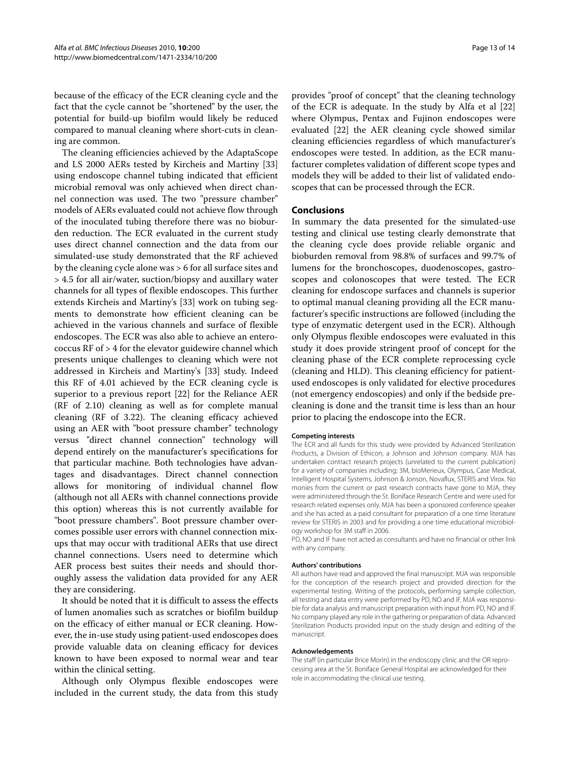because of the efficacy of the ECR cleaning cycle and the fact that the cycle cannot be "shortened" by the user, the potential for build-up biofilm would likely be reduced compared to manual cleaning where short-cuts in cleaning are common.

The cleaning efficiencies achieved by the AdaptaScope and LS 2000 AERs tested by Kircheis and Martiny [33] using endoscope channel tubing indicated that efficient microbial removal was only achieved when direct channel connection was used. The two "pressure chamber" models of AERs evaluated could not achieve flow through of the inoculated tubing therefore there was no bioburden reduction. The ECR evaluated in the current study uses direct channel connection and the data from our simulated-use study demonstrated that the RF achieved by the cleaning cycle alone was > 6 for all surface sites and > 4.5 for all air/water, suction/biopsy and auxillary water channels for all types of flexible endoscopes. This further extends Kircheis and Martiny's [33] work on tubing segments to demonstrate how efficient cleaning can be achieved in the various channels and surface of flexible endoscopes. The ECR was also able to achieve an enterococcus RF of > 4 for the elevator guidewire channel which presents unique challenges to cleaning which were not addressed in Kircheis and Martiny's [33] study. Indeed this RF of 4.01 achieved by the ECR cleaning cycle is superior to a previous report [22] for the Reliance AER (RF of 2.10) cleaning as well as for complete manual cleaning (RF of 3.22). The cleaning efficacy achieved using an AER with "boot pressure chamber" technology versus "direct channel connection" technology will depend entirely on the manufacturer's specifications for that particular machine. Both technologies have advantages and disadvantages. Direct channel connection allows for monitoring of individual channel flow (although not all AERs with channel connections provide this option) whereas this is not currently available for "boot pressure chambers". Boot pressure chamber overcomes possible user errors with channel connection mixups that may occur with traditional AERs that use direct channel connections. Users need to determine which AER process best suites their needs and should thoroughly assess the validation data provided for any AER they are considering.

It should be noted that it is difficult to assess the effects of lumen anomalies such as scratches or biofilm buildup on the efficacy of either manual or ECR cleaning. However, the in-use study using patient-used endoscopes does provide valuable data on cleaning efficacy for devices known to have been exposed to normal wear and tear within the clinical setting.

Although only Olympus flexible endoscopes were included in the current study, the data from this study

provides "proof of concept" that the cleaning technology of the ECR is adequate. In the study by Alfa et al [22] where Olympus, Pentax and Fujinon endoscopes were evaluated [22] the AER cleaning cycle showed similar cleaning efficiencies regardless of which manufacturer's endoscopes were tested. In addition, as the ECR manufacturer completes validation of different scope types and models they will be added to their list of validated endoscopes that can be processed through the ECR.

#### **Conclusions**

In summary the data presented for the simulated-use testing and clinical use testing clearly demonstrate that the cleaning cycle does provide reliable organic and bioburden removal from 98.8% of surfaces and 99.7% of lumens for the bronchoscopes, duodenoscopes, gastroscopes and colonoscopes that were tested. The ECR cleaning for endoscope surfaces and channels is superior to optimal manual cleaning providing all the ECR manufacturer's specific instructions are followed (including the type of enzymatic detergent used in the ECR). Although only Olympus flexible endoscopes were evaluated in this study it does provide stringent proof of concept for the cleaning phase of the ECR complete reprocessing cycle (cleaning and HLD). This cleaning efficiency for patientused endoscopes is only validated for elective procedures (not emergency endoscopies) and only if the bedside precleaning is done and the transit time is less than an hour prior to placing the endoscope into the ECR.

#### **Competing interests**

The ECR and all funds for this study were provided by Advanced Sterilization Products, a Division of Ethicon, a Johnson and Johnson company. MJA has undertaken contract research projects (unrelated to the current publication) for a variety of companies including; 3M, bioMerieux, Olympus, Case Medical, Intelligent Hospital Systems, Johnson & Jonson, Novaflux, STERIS and Virox. No monies from the current or past research contracts have gone to MJA, they were administered through the St. Boniface Research Centre and were used for research related expenses only. MJA has been a sponsored conference speaker and she has acted as a paid consultant for preparation of a one time literature review for STERIS in 2003 and for providing a one time educational microbiology workshop for 3M staff in 2006.

PD, NO and IF have not acted as consultants and have no financial or other link with any company.

#### **Authors' contributions**

All authors have read and approved the final manuscript. MJA was responsible for the conception of the research project and provided direction for the experimental testing. Writing of the protocols, performing sample collection, all testing and data entry were performed by PD, NO and IF. MJA was responsible for data analysis and manuscript preparation with input from PD, NO and IF. No company played any role in the gathering or preparation of data. Advanced Sterilization Products provided input on the study design and editing of the manuscript.

#### **Acknowledgements**

The staff (in particular Brice Morin) in the endoscopy clinic and the OR reprocessing area at the St. Boniface General Hospital are acknowledged for their role in accommodating the clinical use testing.